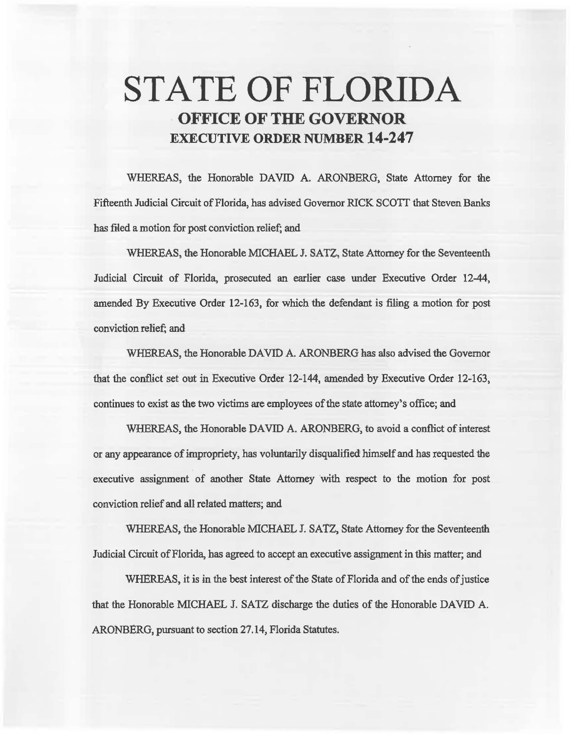# **STATE OF FLORIDA OFFICE OF THE GOVERNOR EXECUTIVE ORDER NUMBER 14·247**

WHEREAS, the Honorable DAVID A. ARONBERG, State Attorney for the Fifteenth Judicial Circuit of Florida, has advised Governor RICK SCOTI that Steven Banks has filed a motion for post conviction relief; and

WHEREAS, the Honorable MICHAEL J. SATZ, State Attorney for the Seventeenth Judicial Circuit of Florida, prosecuted an earlier case under Executive Order 12-44, amended By Executive Order 12-163, for which the defendant is filing a motion for post conviction relief; and

WHEREAS, the Honorable DAVID A. ARONBERG has also advised the Governor that the conflict set out in Executive Order 12-144, amended by Executive Order 12-163, continues to exist as the two victims are employees of the state attorney's office; and

WHEREAS, the Honorable DAVID A. ARONBERG, to avoid a conflict of interest or any appearance of impropriety, has voluntarily disqualified himself and has requested the executive assignment of another State Attorney 'with respect to the motion for post conviction relief and all related matters; and

WHEREAS, the Honorable MICHAEL J. SATZ, State Attorney for the Seventeenth Judicial Circuit of Florida, has agreed to accept an executive assigrunent in this matter; and

WHEREAS, it is in the best interest of the State of Florida and of the ends of justice that the Honorable MICHAEL J. SATZ discharge the duties of the Honorable DAVID A. ARONBERG, pursuant to section 27.14, Florida Statutes.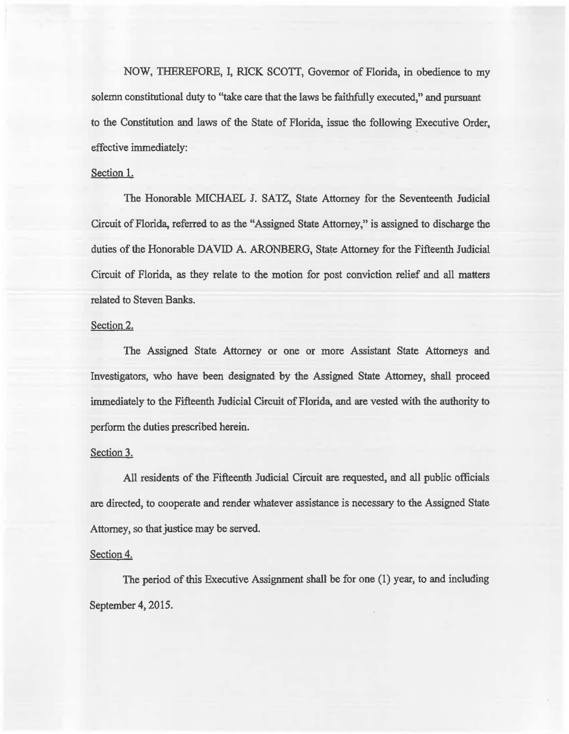NOW, THEREFORE, I, RICK SCOTI, Governor of Florida, in obedience to my solemn constitutional duty to "take care that the laws be faithfully executed," and pursuant to 1he Constitution and laws of the State of Florida, issue the following Executive Order, effective immediately:

# Section 1.

The Honorable MlCHAEL J. SATZ, State Attorney for the Seventeenth Judicial Circuit of Florida, referred to as the "Assigned State Attorney," is assigned to discharge the duties of the Honorable DAVID A. ARONBERG, State Attorney for the Fifteenth Judicial Circuit of Florida, as they relate to the motion for post conviction relief and all matters related to Steven Banks.

## Section 2.

The Assigned State Attorney or one or more Assistant State Attorneys and Investigators, who have been designated by the Assigned State Attorney, shall proceed immediately to the Fifteenth Judicial Circuit of Florida, and are vested with the authority to perform the duties prescribed herein.

### Section 3.

All residents of the Fifteenth. Judicial Circuit are requested, and all public officials are directed, to cooperate and render whatever assistance is necessary to the Assigned State Attorney, so that justice may be served.

### Section 4.

The period of this Executive Assignment shall be for one (1) year, to and including September 4, 2015.